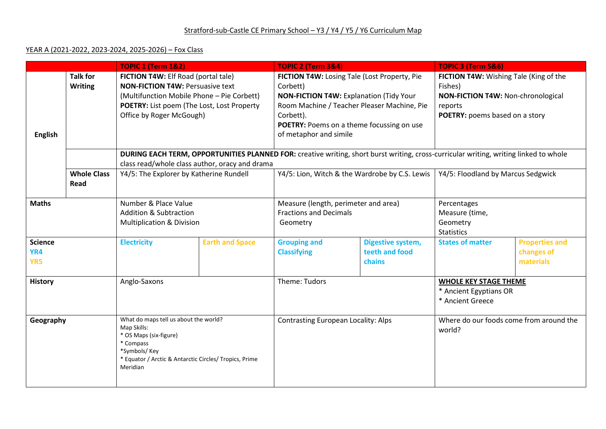#### YEAR A (2021-2022, 2023-2024, 2025-2026) – Fox Class

|                              |                                   | <b>TOPIC 1 (Term 1&amp;2)</b>                                                                                                                                                                          |                        | <b>TOPIC 2 (Term 3&amp;4)</b>                                                                                                                                                                                                                 |                                               | <b>TOPIC 3 (Term 5&amp;6)</b>                                                                                                        |                                                  |  |
|------------------------------|-----------------------------------|--------------------------------------------------------------------------------------------------------------------------------------------------------------------------------------------------------|------------------------|-----------------------------------------------------------------------------------------------------------------------------------------------------------------------------------------------------------------------------------------------|-----------------------------------------------|--------------------------------------------------------------------------------------------------------------------------------------|--------------------------------------------------|--|
| <b>English</b>               | <b>Talk for</b><br><b>Writing</b> | FICTION T4W: Elf Road (portal tale)<br><b>NON-FICTION T4W: Persuasive text</b><br>(Multifunction Mobile Phone - Pie Corbett)<br>POETRY: List poem (The Lost, Lost Property<br>Office by Roger McGough) |                        | FICTION T4W: Losing Tale (Lost Property, Pie<br>Corbett)<br><b>NON-FICTION T4W: Explanation (Tidy Your</b><br>Room Machine / Teacher Pleaser Machine, Pie<br>Corbett).<br>POETRY: Poems on a theme focussing on use<br>of metaphor and simile |                                               | FICTION T4W: Wishing Tale (King of the<br>Fishes)<br>NON-FICTION T4W: Non-chronological<br>reports<br>POETRY: poems based on a story |                                                  |  |
|                              |                                   | DURING EACH TERM, OPPORTUNITIES PLANNED FOR: creative writing, short burst writing, cross-curricular writing, writing linked to whole<br>class read/whole class author, oracy and drama                |                        |                                                                                                                                                                                                                                               |                                               |                                                                                                                                      |                                                  |  |
|                              | <b>Whole Class</b><br>Read        | Y4/5: The Explorer by Katherine Rundell                                                                                                                                                                |                        | Y4/5: Lion, Witch & the Wardrobe by C.S. Lewis                                                                                                                                                                                                |                                               | Y4/5: Floodland by Marcus Sedgwick                                                                                                   |                                                  |  |
| <b>Maths</b>                 |                                   | Number & Place Value<br><b>Addition &amp; Subtraction</b><br><b>Multiplication &amp; Division</b>                                                                                                      |                        | Measure (length, perimeter and area)<br><b>Fractions and Decimals</b><br>Geometry                                                                                                                                                             |                                               | Percentages<br>Measure (time,<br>Geometry<br><b>Statistics</b>                                                                       |                                                  |  |
| <b>Science</b><br>YR4<br>YR5 |                                   | <b>Electricity</b>                                                                                                                                                                                     | <b>Earth and Space</b> | <b>Grouping and</b><br><b>Classifying</b>                                                                                                                                                                                                     | Digestive system,<br>teeth and food<br>chains | <b>States of matter</b>                                                                                                              | <b>Properties and</b><br>changes of<br>materials |  |
| <b>History</b>               |                                   | Anglo-Saxons                                                                                                                                                                                           |                        | Theme: Tudors                                                                                                                                                                                                                                 |                                               | <b>WHOLE KEY STAGE THEME</b><br>* Ancient Egyptians OR<br>* Ancient Greece                                                           |                                                  |  |
| Geography                    |                                   | What do maps tell us about the world?<br>Map Skills:<br>* OS Maps (six-figure)<br>* Compass<br>*Symbols/Key<br>* Equator / Arctic & Antarctic Circles/ Tropics, Prime<br>Meridian                      |                        | <b>Contrasting European Locality: Alps</b>                                                                                                                                                                                                    |                                               | Where do our foods come from around the<br>world?                                                                                    |                                                  |  |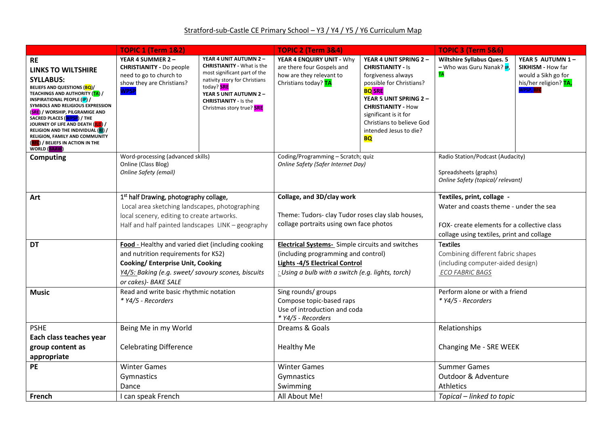# Stratford-sub-Castle CE Primary School - Y3 / Y4 / Y5 / Y6 Curriculum Map

|                                                                                                                                                                                                                                                                                                                                                                                                                                                                                   | <b>TOPIC 1 (Term 1&amp;2)</b>                                                                                                                                                                               |                                                                                                                                                                                                                                                 | <b>TOPIC 2 (Term 3&amp;4)</b>                                                                                                                                                                |                                                                                                                                                                                                                                                                           | <b>TOPIC 3 (Term 5&amp;6)</b>                                                                                                                                    |                                                                                                   |
|-----------------------------------------------------------------------------------------------------------------------------------------------------------------------------------------------------------------------------------------------------------------------------------------------------------------------------------------------------------------------------------------------------------------------------------------------------------------------------------|-------------------------------------------------------------------------------------------------------------------------------------------------------------------------------------------------------------|-------------------------------------------------------------------------------------------------------------------------------------------------------------------------------------------------------------------------------------------------|----------------------------------------------------------------------------------------------------------------------------------------------------------------------------------------------|---------------------------------------------------------------------------------------------------------------------------------------------------------------------------------------------------------------------------------------------------------------------------|------------------------------------------------------------------------------------------------------------------------------------------------------------------|---------------------------------------------------------------------------------------------------|
| <b>RE</b><br><b>LINKS TO WILTSHIRE</b><br><b>SYLLABUS:</b><br>BELIEFS AND QUESTIONS (BQ)/<br><b>TEACHINGS AND AUTHORITY (<mark>TA</mark>)</b> /<br><b>INSPIRATIONAL PEOPLE (IP) /</b><br>SYMBOLS AND RELIGIOUS EXPRESSION<br>(SRE) / WORSHIP, PILGRAMIGE AND<br>SACRED PLACES (WPSP) / THE<br>JOURNEY OF LIFE AND DEATH ( <mark>JLD</mark> ) /<br>RELIGION AND THE INDIVIDUAL (RI) /<br>RELIGION, FAMILY AND COMMUNITY<br>(RFC) / BELIEFS IN ACTION IN THE<br><b>WORLD (BAAW)</b> | YEAR 4 SUMMER 2 -<br><b>CHRISTIANITY - Do people</b><br>need to go to church to<br>show they are Christians?<br><b>WPSP</b>                                                                                 | YEAR 4 UNIT AUTUMN 2 -<br><b>CHRISTIANITY - What is the</b><br>most significant part of the<br>nativity story for Christians<br>today? <b>SRE</b><br>YEAR 5 UNIT AUTUMN 2 -<br><b>CHRISTIANITY - Is the</b><br>Christmas story true? <b>SRE</b> | YEAR 4 ENQUIRY UNIT - Why<br>are there four Gospels and<br>how are they relevant to<br>Christians today? TA                                                                                  | YEAR 4 UNIT SPRING 2 -<br><b>CHRISTIANITY - Is</b><br>forgiveness always<br>possible for Christians?<br><b>BO SRE</b><br>YEAR 5 UNIT SPRING 2 -<br><b>CHRISTIANITY - How</b><br>significant is it for<br>Christians to believe God<br>intended Jesus to die?<br><b>BQ</b> | <b>Wiltshire Syllabus Ques. 5</b><br>- Who was Guru Nanak? <b>IP</b> ,<br><b>TA</b>                                                                              | YEAR 5 AUTUMN 1-<br>SIKHISM - How far<br>would a Sikh go for<br>his/her religion? TA,<br>WPSP, RF |
| <b>Computing</b>                                                                                                                                                                                                                                                                                                                                                                                                                                                                  | Word-processing (advanced skills)<br>Online (Class Blog)<br>Online Safety (email)                                                                                                                           |                                                                                                                                                                                                                                                 | Coding/Programming - Scratch; quiz<br>Online Safety (Safer Internet Day)                                                                                                                     |                                                                                                                                                                                                                                                                           | Radio Station/Podcast (Audacity)<br>Spreadsheets (graphs)<br>Online Safety (topical/ relevant)                                                                   |                                                                                                   |
| Art                                                                                                                                                                                                                                                                                                                                                                                                                                                                               | 1 <sup>st</sup> half Drawing, photography collage,<br>Local area sketching landscapes, photographing<br>local scenery, editing to create artworks.<br>Half and half painted landscapes LINK - geography     |                                                                                                                                                                                                                                                 | Collage, and 3D/clay work<br>Theme: Tudors- clay Tudor roses clay slab houses,<br>collage portraits using own face photos                                                                    |                                                                                                                                                                                                                                                                           | Textiles, print, collage -<br>Water and coasts theme - under the sea<br>FOX- create elements for a collective class<br>collage using textiles, print and collage |                                                                                                   |
| DT                                                                                                                                                                                                                                                                                                                                                                                                                                                                                | Food - Healthy and varied diet (including cooking<br>and nutrition requirements for KS2)<br>Cooking/ Enterprise Unit, Cooking<br>Y4/5: Baking (e.g. sweet/ savoury scones, biscuits<br>or cakes)- BAKE SALE |                                                                                                                                                                                                                                                 | <b>Electrical Systems-</b> Simple circuits and switches<br>(including programming and control)<br><b>Lights -4/5 Electrical Control</b><br>: Using a bulb with a switch (e.g. lights, torch) |                                                                                                                                                                                                                                                                           | <b>Textiles</b><br>Combining different fabric shapes<br>(including computer-aided design)<br><b>ECO FABRIC BAGS</b>                                              |                                                                                                   |
| <b>Music</b>                                                                                                                                                                                                                                                                                                                                                                                                                                                                      | Read and write basic rhythmic notation<br>* Y4/5 - Recorders                                                                                                                                                |                                                                                                                                                                                                                                                 | Sing rounds/ groups<br>Compose topic-based raps<br>Use of introduction and coda<br>* Y4/5 - Recorders                                                                                        |                                                                                                                                                                                                                                                                           | Perform alone or with a friend<br>* Y4/5 - Recorders                                                                                                             |                                                                                                   |
| <b>PSHE</b><br>Each class teaches year<br>group content as<br>appropriate                                                                                                                                                                                                                                                                                                                                                                                                         | Being Me in my World<br><b>Celebrating Difference</b>                                                                                                                                                       |                                                                                                                                                                                                                                                 | Dreams & Goals<br><b>Healthy Me</b>                                                                                                                                                          |                                                                                                                                                                                                                                                                           | Relationships<br>Changing Me - SRE WEEK                                                                                                                          |                                                                                                   |
| <b>PE</b>                                                                                                                                                                                                                                                                                                                                                                                                                                                                         | <b>Winter Games</b><br>Gymnastics<br>Dance                                                                                                                                                                  |                                                                                                                                                                                                                                                 | <b>Winter Games</b><br>Gymnastics<br>Swimming                                                                                                                                                |                                                                                                                                                                                                                                                                           | <b>Summer Games</b><br>Outdoor & Adventure<br>Athletics                                                                                                          |                                                                                                   |
| French                                                                                                                                                                                                                                                                                                                                                                                                                                                                            | I can speak French                                                                                                                                                                                          |                                                                                                                                                                                                                                                 | All About Me!                                                                                                                                                                                |                                                                                                                                                                                                                                                                           | Topical – linked to topic                                                                                                                                        |                                                                                                   |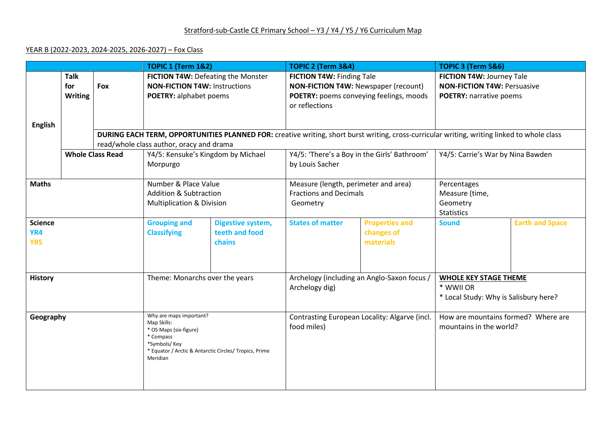# Stratford-sub-Castle CE Primary School - Y3 / Y4 / Y5 / Y6 Curriculum Map

### YEAR B (2022-2023, 2024-2025, 2026-2027) – Fox Class

|                              |                                      |                                                                                                                                                                      | <b>TOPIC 1 (Term 1&amp;2)</b>                                                                        |                                                                                                                                                                                         | TOPIC 2 (Term 3&4)                                                                                                             |                                                                                    | TOPIC 3 (Term 5&6)                                                                                |  |  |  |
|------------------------------|--------------------------------------|----------------------------------------------------------------------------------------------------------------------------------------------------------------------|------------------------------------------------------------------------------------------------------|-----------------------------------------------------------------------------------------------------------------------------------------------------------------------------------------|--------------------------------------------------------------------------------------------------------------------------------|------------------------------------------------------------------------------------|---------------------------------------------------------------------------------------------------|--|--|--|
|                              | <b>Talk</b><br>for<br><b>Writing</b> | Fox                                                                                                                                                                  | FICTION T4W: Defeating the Monster<br><b>NON-FICTION T4W: Instructions</b><br>POETRY: alphabet poems |                                                                                                                                                                                         | FICTION T4W: Finding Tale<br>NON-FICTION T4W: Newspaper (recount)<br>POETRY: poems conveying feelings, moods<br>or reflections |                                                                                    | FICTION T4W: Journey Tale<br><b>NON-FICTION T4W: Persuasive</b><br><b>POETRY: narrative poems</b> |  |  |  |
| <b>English</b>               |                                      |                                                                                                                                                                      |                                                                                                      |                                                                                                                                                                                         |                                                                                                                                |                                                                                    |                                                                                                   |  |  |  |
|                              |                                      |                                                                                                                                                                      |                                                                                                      | DURING EACH TERM, OPPORTUNITIES PLANNED FOR: creative writing, short burst writing, cross-curricular writing, writing linked to whole class<br>read/whole class author, oracy and drama |                                                                                                                                |                                                                                    |                                                                                                   |  |  |  |
|                              |                                      | <b>Whole Class Read</b>                                                                                                                                              | Y4/5: Kensuke's Kingdom by Michael                                                                   |                                                                                                                                                                                         | Y4/5: 'There's a Boy in the Girls' Bathroom'                                                                                   |                                                                                    | Y4/5: Carrie's War by Nina Bawden                                                                 |  |  |  |
|                              |                                      |                                                                                                                                                                      | Morpurgo                                                                                             |                                                                                                                                                                                         | by Louis Sacher                                                                                                                |                                                                                    |                                                                                                   |  |  |  |
| <b>Maths</b>                 |                                      |                                                                                                                                                                      | Number & Place Value<br><b>Addition &amp; Subtraction</b><br><b>Multiplication &amp; Division</b>    |                                                                                                                                                                                         | Measure (length, perimeter and area)<br><b>Fractions and Decimals</b><br>Geometry                                              |                                                                                    | Percentages<br>Measure (time,<br>Geometry<br><b>Statistics</b>                                    |  |  |  |
| <b>Science</b><br>YR4<br>YR5 |                                      | <b>Grouping and</b><br><b>Classifying</b>                                                                                                                            | Digestive system,<br>teeth and food<br>chains                                                        | <b>States of matter</b>                                                                                                                                                                 | <b>Properties and</b><br>changes of<br>materials                                                                               | <b>Sound</b>                                                                       | <b>Earth and Space</b>                                                                            |  |  |  |
| <b>History</b>               |                                      | Theme: Monarchs over the years                                                                                                                                       |                                                                                                      | Archelogy (including an Anglo-Saxon focus)<br>Archelogy dig)                                                                                                                            |                                                                                                                                | <b>WHOLE KEY STAGE THEME</b><br>* WWII OR<br>* Local Study: Why is Salisbury here? |                                                                                                   |  |  |  |
| Geography                    |                                      | Why are maps important?<br>Map Skills:<br>* OS Maps (six-figure)<br>* Compass<br>*Symbols/ Key<br>* Equator / Arctic & Antarctic Circles/ Tropics, Prime<br>Meridian |                                                                                                      | Contrasting European Locality: Algarve (incl.<br>food miles)                                                                                                                            |                                                                                                                                | How are mountains formed? Where are<br>mountains in the world?                     |                                                                                                   |  |  |  |